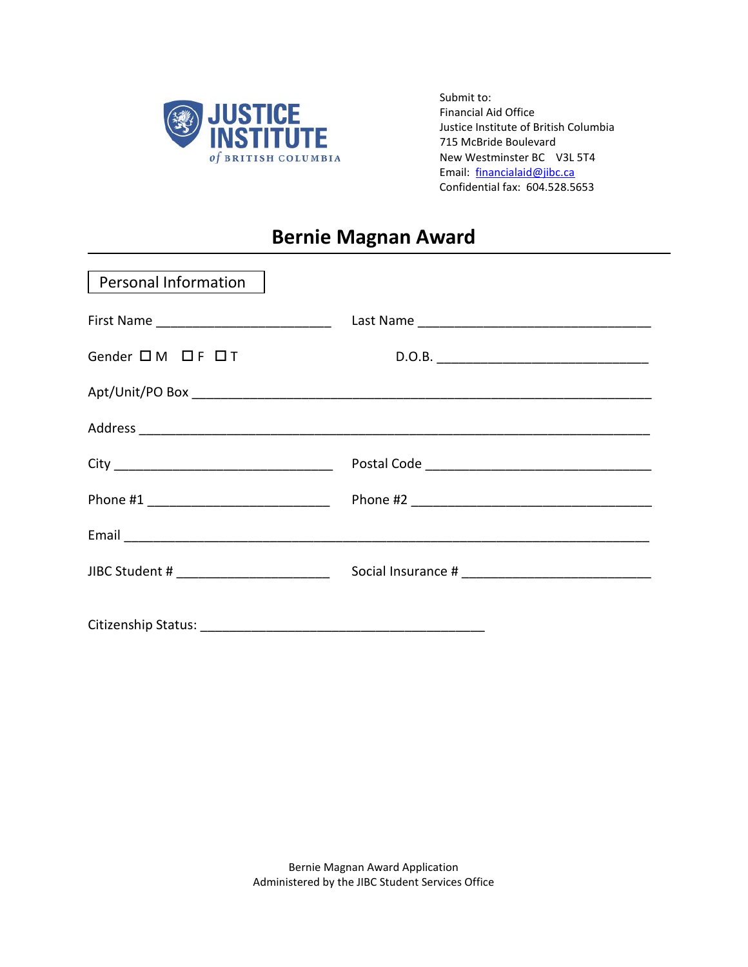

Financial Aid Office Justice Institute of British Columbia 715 McBride Boulevard New Westminster BC V3L 5T4 Email: [financialaid@jibc.ca](mailto:financialaid@jibc.ca) Confidential fax: 604.528.5653

# **Bernie Magnan Award**

| Personal Information |  |  |
|----------------------|--|--|
|                      |  |  |
| Gender OM OF OT      |  |  |
|                      |  |  |
|                      |  |  |
|                      |  |  |
|                      |  |  |
|                      |  |  |
|                      |  |  |
|                      |  |  |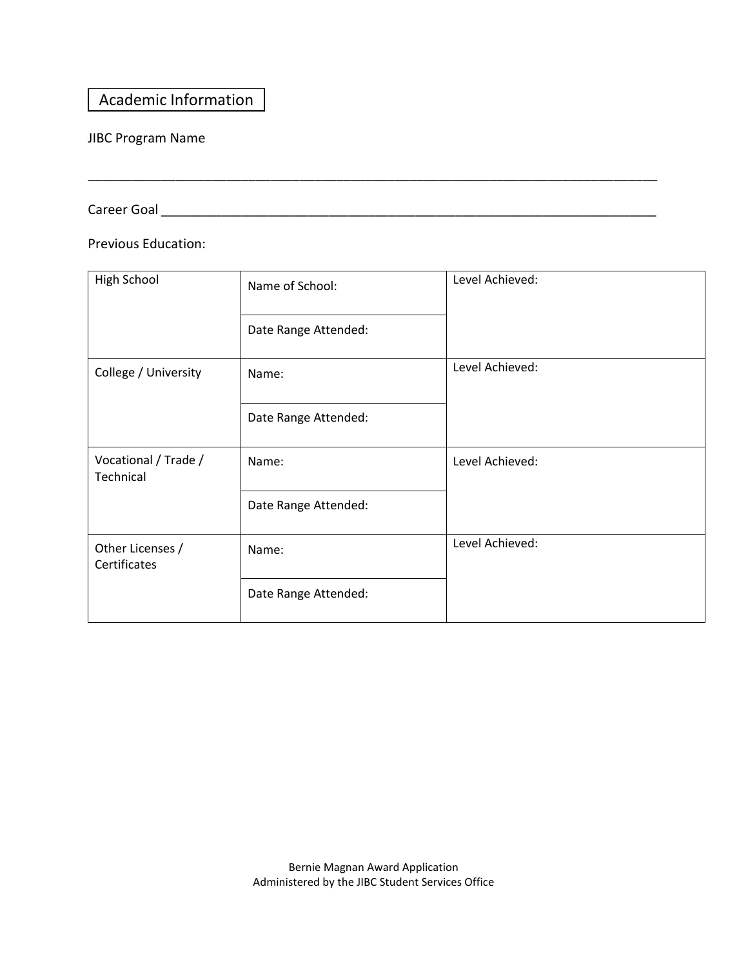## Academic Information

### JIBC Program Name

Career Goal \_\_\_\_\_\_\_\_\_\_\_\_\_\_\_\_\_\_\_\_\_\_\_\_\_\_\_\_\_\_\_\_\_\_\_\_\_\_\_\_\_\_\_\_\_\_\_\_\_\_\_\_\_\_\_\_\_\_\_\_\_\_\_\_\_\_\_\_\_\_\_\_\_\_

Previous Education:

| <b>High School</b>                | Name of School:      | Level Achieved: |
|-----------------------------------|----------------------|-----------------|
|                                   | Date Range Attended: |                 |
| College / University              | Name:                | Level Achieved: |
|                                   | Date Range Attended: |                 |
| Vocational / Trade /<br>Technical | Name:                | Level Achieved: |
|                                   | Date Range Attended: |                 |
| Other Licenses /<br>Certificates  | Name:                | Level Achieved: |
|                                   | Date Range Attended: |                 |

\_\_\_\_\_\_\_\_\_\_\_\_\_\_\_\_\_\_\_\_\_\_\_\_\_\_\_\_\_\_\_\_\_\_\_\_\_\_\_\_\_\_\_\_\_\_\_\_\_\_\_\_\_\_\_\_\_\_\_\_\_\_\_\_\_\_\_\_\_\_\_\_\_\_\_\_\_\_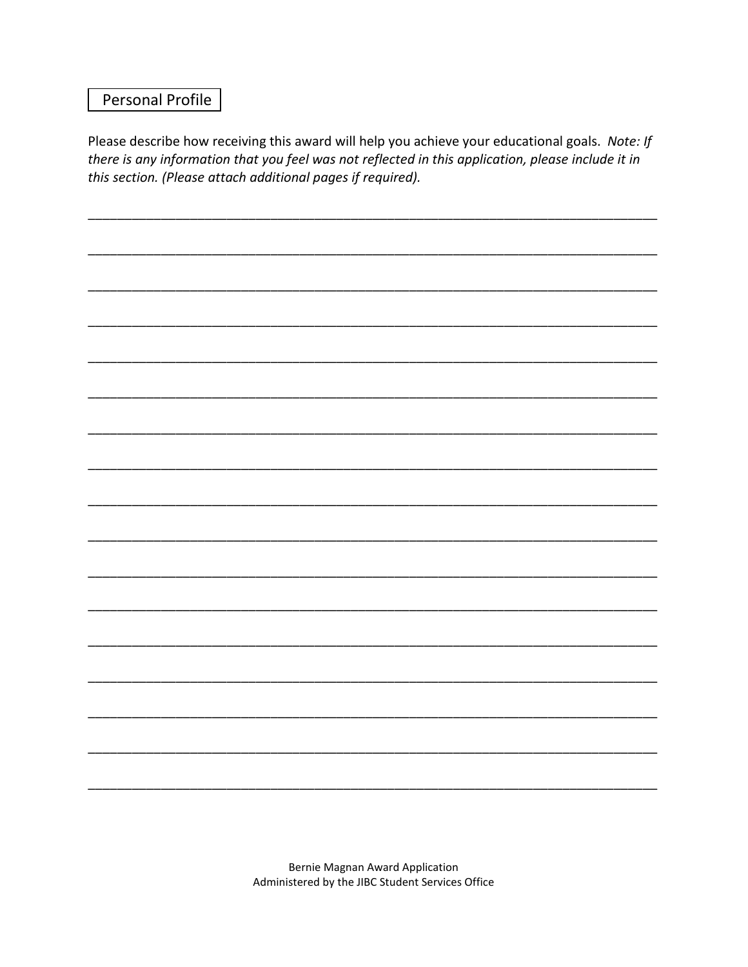## **Personal Profile**

Please describe how receiving this award will help you achieve your educational goals. Note: If there is any information that you feel was not reflected in this application, please include it in this section. (Please attach additional pages if required).

Bernie Magnan Award Application Administered by the JIBC Student Services Office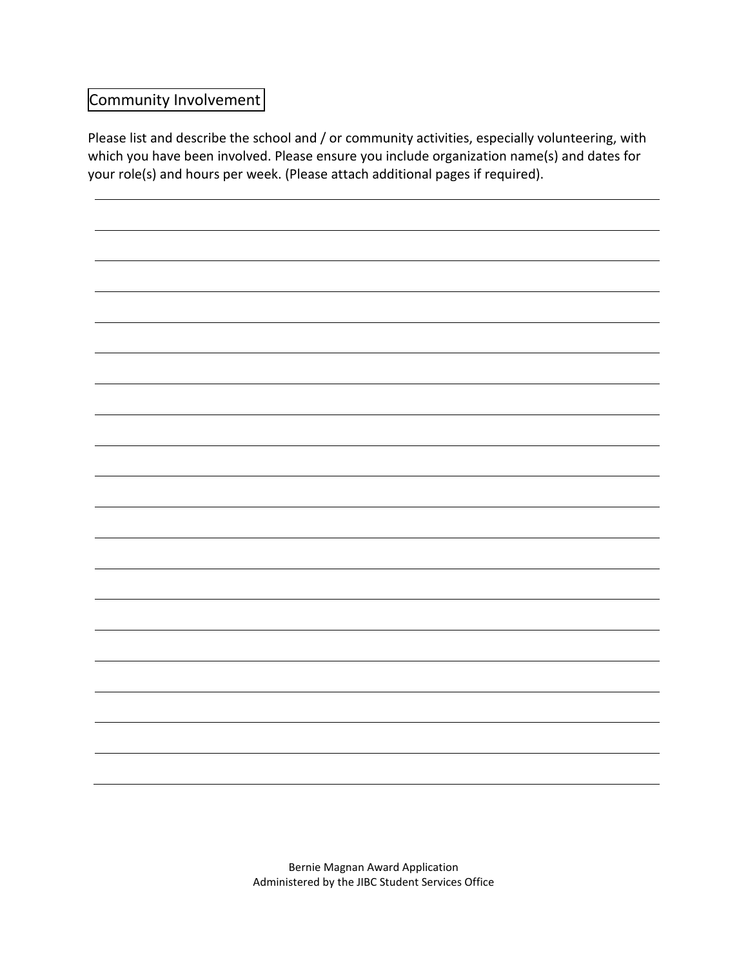## Community Involvement

Please list and describe the school and / or community activities, especially volunteering, with which you have been involved. Please ensure you include organization name(s) and dates for your role(s) and hours per week. (Please attach additional pages if required).

> Bernie Magnan Award Application Administered by the JIBC Student Services Office